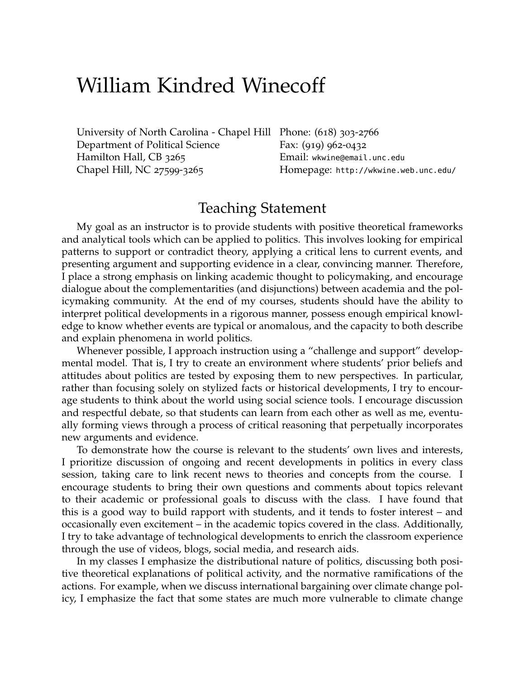## William Kindred Winecoff

[University of North Carolina - Chapel Hill](http://www.unc.edu/) Phone: (618) 303-2766 [Department of Political Science](http://www.unc.edu/depts/polisci/) Hamilton Hall, CB 3265 Chapel Hill, NC 27599-3265

Fax: (919) 962-0432 Email: [wkwine@email.unc.edu](mailto:winecoff@unc.edu) Homepage: <http://wkwine.web.unc.edu/>

## Teaching Statement

My goal as an instructor is to provide students with positive theoretical frameworks and analytical tools which can be applied to politics. This involves looking for empirical patterns to support or contradict theory, applying a critical lens to current events, and presenting argument and supporting evidence in a clear, convincing manner. Therefore, I place a strong emphasis on linking academic thought to policymaking, and encourage dialogue about the complementarities (and disjunctions) between academia and the policymaking community. At the end of my courses, students should have the ability to interpret political developments in a rigorous manner, possess enough empirical knowledge to know whether events are typical or anomalous, and the capacity to both describe and explain phenomena in world politics.

Whenever possible, I approach instruction using a "challenge and support" developmental model. That is, I try to create an environment where students' prior beliefs and attitudes about politics are tested by exposing them to new perspectives. In particular, rather than focusing solely on stylized facts or historical developments, I try to encourage students to think about the world using social science tools. I encourage discussion and respectful debate, so that students can learn from each other as well as me, eventually forming views through a process of critical reasoning that perpetually incorporates new arguments and evidence.

To demonstrate how the course is relevant to the students' own lives and interests, I prioritize discussion of ongoing and recent developments in politics in every class session, taking care to link recent news to theories and concepts from the course. I encourage students to bring their own questions and comments about topics relevant to their academic or professional goals to discuss with the class. I have found that this is a good way to build rapport with students, and it tends to foster interest – and occasionally even excitement – in the academic topics covered in the class. Additionally, I try to take advantage of technological developments to enrich the classroom experience through the use of videos, blogs, social media, and research aids.

In my classes I emphasize the distributional nature of politics, discussing both positive theoretical explanations of political activity, and the normative ramifications of the actions. For example, when we discuss international bargaining over climate change policy, I emphasize the fact that some states are much more vulnerable to climate change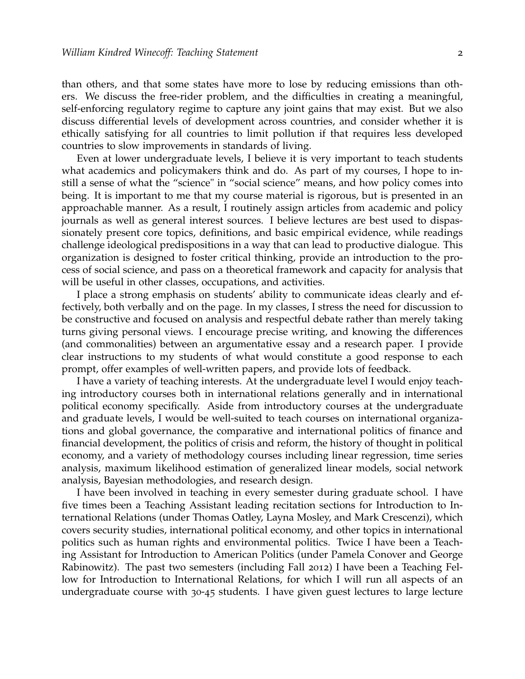than others, and that some states have more to lose by reducing emissions than others. We discuss the free-rider problem, and the difficulties in creating a meaningful, self-enforcing regulatory regime to capture any joint gains that may exist. But we also discuss differential levels of development across countries, and consider whether it is ethically satisfying for all countries to limit pollution if that requires less developed countries to slow improvements in standards of living.

Even at lower undergraduate levels, I believe it is very important to teach students what academics and policymakers think and do. As part of my courses, I hope to instill a sense of what the "science" in "social science" means, and how policy comes into being. It is important to me that my course material is rigorous, but is presented in an approachable manner. As a result, I routinely assign articles from academic and policy journals as well as general interest sources. I believe lectures are best used to dispassionately present core topics, definitions, and basic empirical evidence, while readings challenge ideological predispositions in a way that can lead to productive dialogue. This organization is designed to foster critical thinking, provide an introduction to the process of social science, and pass on a theoretical framework and capacity for analysis that will be useful in other classes, occupations, and activities.

I place a strong emphasis on students' ability to communicate ideas clearly and effectively, both verbally and on the page. In my classes, I stress the need for discussion to be constructive and focused on analysis and respectful debate rather than merely taking turns giving personal views. I encourage precise writing, and knowing the differences (and commonalities) between an argumentative essay and a research paper. I provide clear instructions to my students of what would constitute a good response to each prompt, offer examples of well-written papers, and provide lots of feedback.

I have a variety of teaching interests. At the undergraduate level I would enjoy teaching introductory courses both in international relations generally and in international political economy specifically. Aside from introductory courses at the undergraduate and graduate levels, I would be well-suited to teach courses on international organizations and global governance, the comparative and international politics of finance and financial development, the politics of crisis and reform, the history of thought in political economy, and a variety of methodology courses including linear regression, time series analysis, maximum likelihood estimation of generalized linear models, social network analysis, Bayesian methodologies, and research design.

I have been involved in teaching in every semester during graduate school. I have five times been a Teaching Assistant leading recitation sections for Introduction to International Relations (under Thomas Oatley, Layna Mosley, and Mark Crescenzi), which covers security studies, international political economy, and other topics in international politics such as human rights and environmental politics. Twice I have been a Teaching Assistant for Introduction to American Politics (under Pamela Conover and George Rabinowitz). The past two semesters (including Fall 2012) I have been a Teaching Fellow for Introduction to International Relations, for which I will run all aspects of an undergraduate course with 30-45 students. I have given guest lectures to large lecture